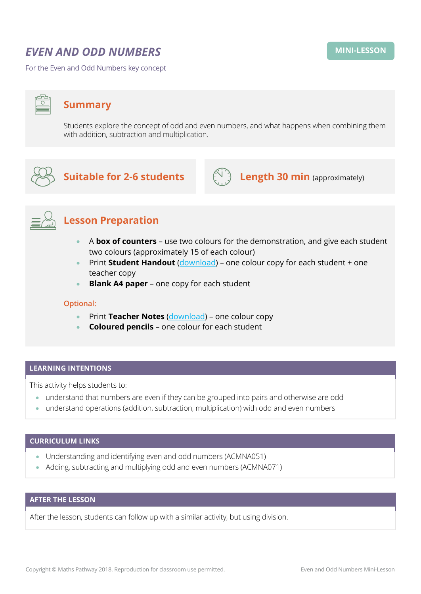# *EVEN AND ODD NUMBERS*

For the Even and Odd Numbers key concept

## **Summary**

Students explore the concept of odd and even numbers, and what happens when combining them with addition, subtraction and multiplication.



# **Suitable for 2-6 students**  $\left(\bigcup_{i=1}^{n} A_i\right)$  **Length 30 min** (approximately)





# **Lesson Preparation**

- A **box of counters** use two colours for the demonstration, and give each student two colours (approximately 15 of each colour)
- Print **Student Handout** [\(download\)](https://mpcontent.blob.core.windows.net/mini-lesson-resources/Even%20and%20Odd%20Numbers%20-%20Student%20Handout.pdf) one colour copy for each student + one teacher copy
- **Blank A4 paper** one copy for each student

#### **Optional:**

- Print **Teacher Notes** [\(download\)](https://mpcontent.blob.core.windows.net/mini-lesson-resources/Even%20and%20Odd%20Numbers%20-%20%20Teacher%20Notes.pdf) one colour copy
- **Coloured pencils** one colour for each student

#### **LEARNING INTENTIONS**

This activity helps students to:

- understand that numbers are even if they can be grouped into pairs and otherwise are odd
- understand operations (addition, subtraction, multiplication) with odd and even numbers

#### **CURRICULUM LINKS**

- Understanding and identifying even and odd numbers (ACMNA051)
- Adding, subtracting and multiplying odd and even numbers (ACMNA071)

### **AFTER THE LESSON**

After the lesson, students can follow up with a similar activity, but using division.